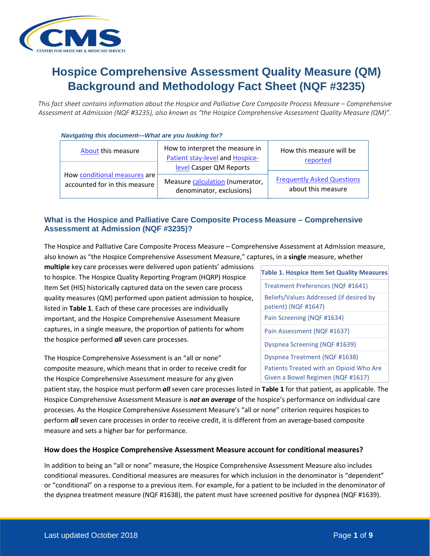

# **Hospice Comprehensive Assessment Quality Measure (QM) Background and Methodology Fact Sheet (NQF #3235)**

*This fact sheet contains information about the Hospice and Palliative Care Composite Process Measure – Comprehensive Assessment at Admission (NQF #3235), also known as "the Hospice Comprehensive Assessment Quality Measure (QM)".*

#### *Navigating this document—What are you looking for?*

| About this measure            | How to interpret the measure in<br>Patient stay-level and Hospice-<br>level Casper QM Reports | How this measure will be<br>reported |
|-------------------------------|-----------------------------------------------------------------------------------------------|--------------------------------------|
| How conditional measures are  | Measure calculation (numerator,                                                               | <b>Frequently Asked Questions</b>    |
| accounted for in this measure | denominator, exclusions)                                                                      | about this measure                   |

# <span id="page-0-0"></span>**What is the Hospice and Palliative Care Composite Process Measure – Comprehensive Assessment at Admission (NQF #3235)?**

The Hospice and Palliative Care Composite Process Measure – Comprehensive Assessment at Admission measure, also known as "the Hospice Comprehensive Assessment Measure," captures, in a **single** measure, whether

**multiple** key care processes were delivered upon patients' admissions to hospice. The Hospice Quality Reporting Program (HQRP) Hospice Item Set (HIS) historically captured data on the seven care process quality measures (QM) performed upon patient admission to hospice, listed in **Table 1**. Each of these care processes are individually important, and the Hospice Comprehensive Assessment Measure captures, in a single measure, the proportion of patients for whom the hospice performed *all* seven care processes.

The Hospice Comprehensive Assessment is an "all or none" composite measure, which means that in order to receive credit for the Hospice Comprehensive Assessment measure for any given

**Table 1. Hospice Item Set Quality Measures** Treatment Preferences (NQF #1641) Beliefs/Values Addressed (if desired by patient) (NQF #1647) Pain Screening (NQF #1634) Pain Assessment (NQF #1637) Dyspnea Screening (NQF #1639) Dyspnea Treatment (NQF #1638) Patients Treated with an Opioid Who Are Given a Bowel Regimen (NQF #1617)

patient stay, the hospice must perform *all* seven care processes listed in **Table 1** for that patient, as applicable. The Hospice Comprehensive Assessment Measure is *not an average* of the hospice's performance on individual care processes. As the Hospice Comprehensive Assessment Measure's "all or none" criterion requires hospices to perform *all* seven care processes in order to receive credit, it is different from an average-based composite measure and sets a higher bar for performance.

## <span id="page-0-1"></span>**How does the Hospice Comprehensive Assessment Measure account for conditional measures?**

In addition to being an "all or none" measure, the Hospice Comprehensive Assessment Measure also includes conditional measures. Conditional measures are measures for which inclusion in the denominator is "dependent" or "conditional" on a response to a previous item. For example, for a patient to be included in the denominator of the dyspnea treatment measure (NQF #1638), the patent must have screened positive for dyspnea (NQF #1639).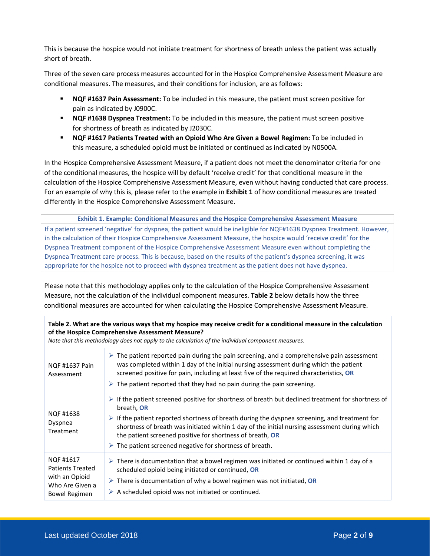This is because the hospice would not initiate treatment for shortness of breath unless the patient was actually short of breath.

Three of the seven care process measures accounted for in the Hospice Comprehensive Assessment Measure are conditional measures. The measures, and their conditions for inclusion, are as follows:

- **NQF #1637 Pain Assessment:** To be included in this measure, the patient must screen positive for pain as indicated by J0900C.
- **NQF #1638 Dyspnea Treatment:** To be included in this measure, the patient must screen positive for shortness of breath as indicated by J2030C.
- **NQF #1617 Patients Treated with an Opioid Who Are Given a Bowel Regimen:** To be included in this measure, a scheduled opioid must be initiated or continued as indicated by N0500A.

In the Hospice Comprehensive Assessment Measure, if a patient does not meet the denominator criteria for one of the conditional measures, the hospice will by default 'receive credit' for that conditional measure in the calculation of the Hospice Comprehensive Assessment Measure, even without having conducted that care process. For an example of why this is, please refer to the example in **Exhibit 1** of how conditional measures are treated differently in the Hospice Comprehensive Assessment Measure.

**Exhibit 1. Example: Conditional Measures and the Hospice Comprehensive Assessment Measure** If a patient screened 'negative' for dyspnea, the patient would be ineligible for NQF#1638 Dyspnea Treatment. However, in the calculation of their Hospice Comprehensive Assessment Measure, the hospice would 'receive credit' for the Dyspnea Treatment component of the Hospice Comprehensive Assessment Measure even without completing the Dyspnea Treatment care process. This is because, based on the results of the patient's dyspnea screening, it was appropriate for the hospice not to proceed with dyspnea treatment as the patient does not have dyspnea.

Please note that this methodology applies only to the calculation of the Hospice Comprehensive Assessment Measure, not the calculation of the individual component measures. **Table 2** below details how the three conditional measures are accounted for when calculating the Hospice Comprehensive Assessment Measure.

**Table 2. What are the various ways that my hospice may receive credit for a conditional measure in the calculation of the Hospice Comprehensive Assessment Measure?** 

*Note that this methodology does not apply to the calculation of the individual component measures.* 

| NQF #1637 Pain<br>Assessment                                                                      | $\triangleright$ The patient reported pain during the pain screening, and a comprehensive pain assessment<br>was completed within 1 day of the initial nursing assessment during which the patient<br>screened positive for pain, including at least five of the required characteristics, OR<br>$\triangleright$ The patient reported that they had no pain during the pain screening.                                                                                                  |
|---------------------------------------------------------------------------------------------------|------------------------------------------------------------------------------------------------------------------------------------------------------------------------------------------------------------------------------------------------------------------------------------------------------------------------------------------------------------------------------------------------------------------------------------------------------------------------------------------|
| NQF #1638<br>Dyspnea<br>Treatment                                                                 | $\triangleright$ If the patient screened positive for shortness of breath but declined treatment for shortness of<br>breath, OR<br>$\triangleright$ If the patient reported shortness of breath during the dyspnea screening, and treatment for<br>shortness of breath was initiated within 1 day of the initial nursing assessment during which<br>the patient screened positive for shortness of breath, OR<br>$\triangleright$ The patient screened negative for shortness of breath. |
| NQF #1617<br><b>Patients Treated</b><br>with an Opioid<br>Who Are Given a<br><b>Bowel Regimen</b> | $\triangleright$ There is documentation that a bowel regimen was initiated or continued within 1 day of a<br>scheduled opioid being initiated or continued, OR<br>$\triangleright$ There is documentation of why a bowel regimen was not initiated, OR<br>$\triangleright$ A scheduled opioid was not initiated or continued.                                                                                                                                                            |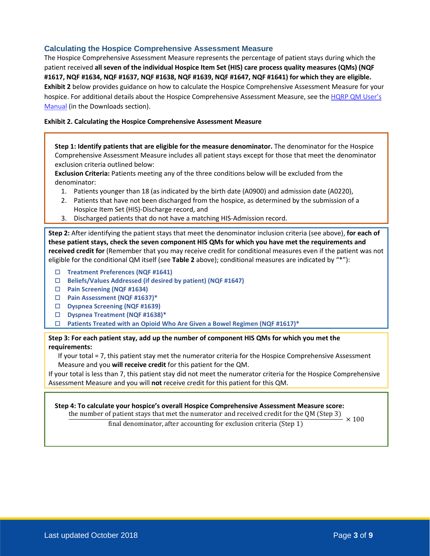## <span id="page-2-1"></span>**Calculating the Hospice Comprehensive Assessment Measure**

The Hospice Comprehensive Assessment Measure represents the percentage of patient stays during which the patient received **all seven of the individual Hospice Item Set (HIS) care process quality measures (QMs) (NQF #1617, NQF #1634, NQF #1637, NQF #1638, NQF #1639, NQF #1647, NQF #1641) for which they are eligible. Exhibit 2** below provides guidance on how to calculate the Hospice Comprehensive Assessment Measure for your hospice. For additional details about the Hospice Comprehensive Assessment Measure, see the HQRP QM User's [Manual](https://www.cms.gov/Medicare/Quality-Initiatives-Patient-Assessment-Instruments/Hospice-Quality-Reporting/Current-Measures.html) (in the Downloads section).

#### **Exhibit 2. Calculating the Hospice Comprehensive Assessment Measure**

**Step 1: Identify patients that are eligible for the measure denominator.** The denominator for the Hospice Comprehensive Assessment Measure includes all patient stays except for those that meet the denominator exclusion criteria outlined below:

**Exclusion Criteria:** Patients meeting any of the three conditions below will be excluded from the denominator:

- 1. Patients younger than 18 (as indicated by the birth date (A0900) and admission date (A0220),
- 2. Patients that have not been discharged from the hospice, as determined by the submission of a Hospice Item Set (HIS)-Discharge record, and
- 3. Discharged patients that do not have a matching HIS-Admission record.

**Step 2:** After identifying the patient stays that meet the denominator inclusion criteria (see above), **for each of these patient stays, check the seven component HIS QMs for which you have met the requirements and received credit for** (Remember that you may receive credit for conditional measures even if the patient was not eligible for the conditional QM itself (see **Table 2** above); conditional measures are indicated by "\*"):

- **Treatment Preferences (NQF #1641)**
- **Beliefs/Values Addressed (if desired by patient) (NQF #1647)**
- **Pain Screening (NQF #1634)**
- **Pain Assessment (NQF #1637)\***
- **Dyspnea Screening (NQF #1639)**
- **Dyspnea Treatment (NQF #1638)\***
- **Patients Treated with an Opioid Who Are Given a Bowel Regimen (NQF #1617)\***

**Step 3: For each patient stay, add up the number of component HIS QMs for which you met the requirements:**

If your total = 7, this patient stay met the numerator criteria for the Hospice Comprehensive Assessment Measure and you **will receive credit** for this patient for the QM.

If your total is less than 7, this patient stay did not meet the numerator criteria for the Hospice Comprehensive Assessment Measure and you will **not** receive credit for this patient for this QM.

<span id="page-2-0"></span>**Step 4: To calculate your hospice's overall Hospice Comprehensive Assessment Measure score:** 14: 10 Calculate your mospice s overall increase compressions and received credit for the QM (Step 3)  $\times 100$ 

final denominator, after accounting for exclusion criteria (Step  $1$ )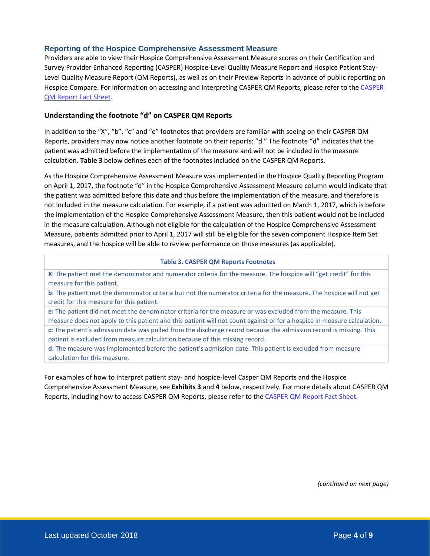## **Reporting of the Hospice Comprehensive Assessment Measure**

Providers are able to view their Hospice Comprehensive Assessment Measure scores on their Certification and Survey Provider Enhanced Reporting (CASPER) Hospice-Level Quality Measure Report and Hospice Patient Stay-Level Quality Measure Report (QM Reports), as well as on their Preview Reports in advance of public reporting on Hospice Compare. For information on accessing and interpreting CASPER QM Reports, please refer to the CASPER [QM Report Fact Sheet.](https://www.cms.gov/Medicare/Quality-Initiatives-Patient-Assessment-Instruments/Hospice-Quality-Reporting/Downloads/Fact-Sheet_CASPER-QM-Reports_February-2018.pdf)

## **Understanding the footnote "d" on CASPER QM Reports**

In addition to the "X", "b", "c" and "e" footnotes that providers are familiar with seeing on their CASPER QM Reports, providers may now notice another footnote on their reports: "d." The footnote "d" indicates that the patient was admitted before the implementation of the measure and will not be included in the measure calculation. **Table 3** below defines each of the footnotes included on the CASPER QM Reports.

As the Hospice Comprehensive Assessment Measure was implemented in the Hospice Quality Reporting Program on April 1, 2017, the footnote "d" in the Hospice Comprehensive Assessment Measure column would indicate that the patient was admitted before this date and thus before the implementation of the measure, and therefore is not included in the measure calculation. For example, if a patient was admitted on March 1, 2017, which is before the implementation of the Hospice Comprehensive Assessment Measure, then this patient would not be included in the measure calculation. Although not eligible for the calculation of the Hospice Comprehensive Assessment Measure, patients admitted prior to April 1, 2017 will still be eligible for the seven component Hospice Item Set measures, and the hospice will be able to review performance on those measures (as applicable).

#### **Table 3. CASPER QM Reports Footnotes**

**X**: The patient met the denominator and numerator criteria for the measure. The hospice will "get credit" for this measure for this patient.

**b**: The patient met the denominator criteria but not the numerator criteria for the measure. The hospice will not get credit for this measure for this patient.

**e:** The patient did not meet the denominator criteria for the measure or was excluded from the measure. This measure does not apply to this patient and this patient will not count against or for a hospice in measure calculation. **c:** The patient's admission date was pulled from the discharge record because the admission record is missing. This patient is excluded from measure calculation because of this missing record.

**d:** The measure was implemented before the patient's admission date. This patient is excluded from measure calculation for this measure.

<span id="page-3-0"></span>For examples of how to interpret patient stay- and hospice-level Casper QM Reports and the Hospice Comprehensive Assessment Measure, see **Exhibits 3** and **4** below, respectively. For more details about CASPER QM Reports, including how to access CASPER QM Reports, please refer to the [CASPER QM Report Fact Sheet.](https://www.cms.gov/Medicare/Quality-Initiatives-Patient-Assessment-Instruments/Hospice-Quality-Reporting/Downloads/Fact-Sheet_CASPER-QM-Reports_February-2018.pdf)

*(continued on next page)*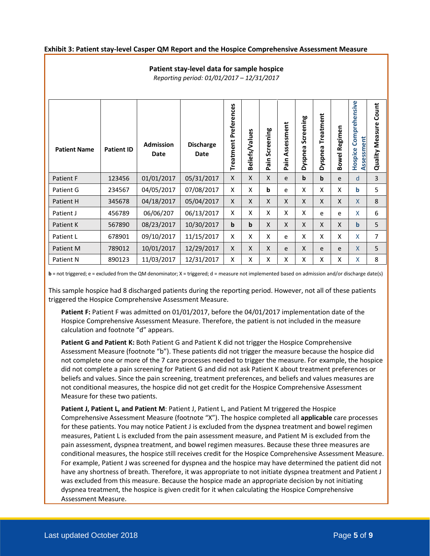#### **Exhibit 3: Patient stay-level Casper QM Report and the Hospice Comprehensive Assessment Measure**

## **Patient stay-level data for sample hospice**

*Reporting period: 01/01/2017 – 12/31/2017*

| <b>Patient Name</b> | <b>Patient ID</b> | <b>Admission</b><br>Date | <b>Discharge</b><br><b>Date</b> | Preferences<br>Treatment | Beliefs/Values | Screening<br>ain<br>Ä. | Assessment<br>Pain | Screening<br>Dyspnea | Treatment<br>Dyspnea | Bowel Regimen | Comprehensive<br>Assessment<br>Hospice | Count<br><b>Quality Measure</b> |
|---------------------|-------------------|--------------------------|---------------------------------|--------------------------|----------------|------------------------|--------------------|----------------------|----------------------|---------------|----------------------------------------|---------------------------------|
| Patient F           | 123456            | 01/01/2017               | 05/31/2017                      | X                        | X              | X                      | e                  | b                    | b                    | e             | d                                      | 3                               |
| Patient G           | 234567            | 04/05/2017               | 07/08/2017                      | X                        | X              | b                      | e                  | X                    | X                    | X             | b                                      | 5                               |
| Patient H           | 345678            | 04/18/2017               | 05/04/2017                      | X                        | X              | $\mathsf{X}$           | X                  | X                    | Χ                    | X             | X                                      | 8                               |
| Patient J           | 456789            | 06/06/207                | 06/13/2017                      | X                        | X              | X                      | X                  | X                    | e                    | e             | X                                      | 6                               |
| Patient K           | 567890            | 08/23/2017               | 10/30/2017                      | $\mathbf b$              | $\mathbf b$    | X                      | $\mathsf{x}$       | X                    | X                    | X             | $\mathbf b$                            | 5                               |
| Patient L           | 678901            | 09/10/2017               | 11/15/2017                      | X                        | X              | X                      | e                  | X                    | X                    | X             | X                                      | 7                               |
| Patient M           | 789012            | 10/01/2017               | 12/29/2017                      | X                        | X              | X                      | e                  | X                    | e                    | e             | X                                      | 5                               |
| Patient N           | 890123            | 11/03/2017               | 12/31/2017                      | X                        | X              | X                      | X                  | X                    | X                    | X             | X                                      | 8                               |

**b** = not triggered; e = excluded from the QM denominator; X = triggered; d = measure not implemented based on admission and/or discharge date(s)

This sample hospice had 8 discharged patients during the reporting period. However, not all of these patients triggered the Hospice Comprehensive Assessment Measure.

**Patient F:** Patient F was admitted on 01/01/2017, before the 04/01/2017 implementation date of the Hospice Comprehensive Assessment Measure. Therefore, the patient is not included in the measure calculation and footnote "d" appears.

**Patient G and Patient K:** Both Patient G and Patient K did not trigger the Hospice Comprehensive Assessment Measure (footnote "b"). These patients did not trigger the measure because the hospice did not complete one or more of the 7 care processes needed to trigger the measure. For example, the hospice did not complete a pain screening for Patient G and did not ask Patient K about treatment preferences or beliefs and values. Since the pain screening, treatment preferences, and beliefs and values measures are not conditional measures, the hospice did not get credit for the Hospice Comprehensive Assessment Measure for these two patients.

**Patient J, Patient L, and Patient M**: Patient J, Patient L, and Patient M triggered the Hospice Comprehensive Assessment Measure (footnote "X"). The hospice completed all **applicable** care processes for these patients. You may notice Patient J is excluded from the dyspnea treatment and bowel regimen measures, Patient L is excluded from the pain assessment measure, and Patient M is excluded from the pain assessment, dyspnea treatment, and bowel regimen measures. Because these three measures are conditional measures, the hospice still receives credit for the Hospice Comprehensive Assessment Measure. For example, Patient J was screened for dyspnea and the hospice may have determined the patient did not have any shortness of breath. Therefore, it was appropriate to not initiate dyspnea treatment and Patient J was excluded from this measure. Because the hospice made an appropriate decision by not initiating dyspnea treatment, the hospice is given credit for it when calculating the Hospice Comprehensive Assessment Measure.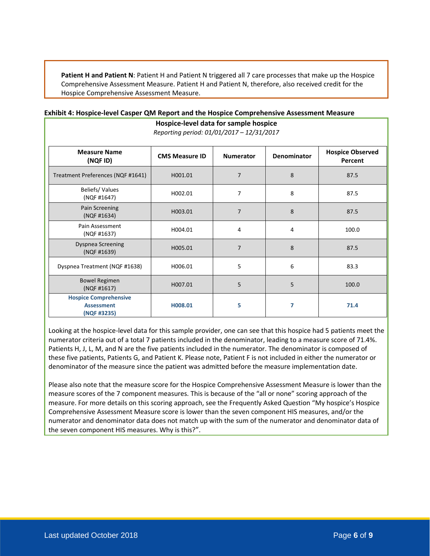**Patient H and Patient N**: Patient H and Patient N triggered all 7 care processes that make up the Hospice Comprehensive Assessment Measure. Patient H and Patient N, therefore, also received credit for the Hospice Comprehensive Assessment Measure.

**Hospice-level data for sample hospice**

| Reporting period: 01/01/2017 - 12/31/2017                        |                       |                  |             |                                    |  |  |
|------------------------------------------------------------------|-----------------------|------------------|-------------|------------------------------------|--|--|
| <b>Measure Name</b><br>(NQF ID)                                  | <b>CMS Measure ID</b> | <b>Numerator</b> | Denominator | <b>Hospice Observed</b><br>Percent |  |  |
| Treatment Preferences (NQF #1641)                                | H001.01               | $\overline{7}$   | 8           | 87.5                               |  |  |
| Beliefs/Values<br>(NQF #1647)                                    | H002.01               | $\overline{7}$   | 8           | 87.5                               |  |  |
| Pain Screening<br>(NQF #1634)                                    | H003.01               | $\overline{7}$   | 8           | 87.5                               |  |  |
| Pain Assessment<br>(NQF #1637)                                   | H004.01               | 4                | 4           | 100.0                              |  |  |
| <b>Dyspnea Screening</b><br>(NQF #1639)                          | H005.01               | $\overline{7}$   | 8           | 87.5                               |  |  |
| Dyspnea Treatment (NQF #1638)                                    | H006.01               | 5                | 6           | 83.3                               |  |  |
| <b>Bowel Regimen</b><br>(NQF #1617)                              | H007.01               | 5                | 5           | 100.0                              |  |  |
| <b>Hospice Comprehensive</b><br><b>Assessment</b><br>(NQF #3235) | H008.01               | 5                | 7           | 71.4                               |  |  |

#### <span id="page-5-0"></span>**Exhibit 4: Hospice-level Casper QM Report and the Hospice Comprehensive Assessment Measure**

Looking at the hospice-level data for this sample provider, one can see that this hospice had 5 patients meet the numerator criteria out of a total 7 patients included in the denominator, leading to a measure score of 71.4%. Patients H, J, L, M, and N are the five patients included in the numerator. The denominator is composed of these five patients, Patients G, and Patient K. Please note, Patient F is not included in either the numerator or denominator of the measure since the patient was admitted before the measure implementation date.

<span id="page-5-1"></span>Please also note that the measure score for the Hospice Comprehensive Assessment Measure is lower than the measure scores of the 7 component measures. This is because of the "all or none" scoring approach of the measure. For more details on this scoring approach, see the Frequently Asked Question "My hospice's Hospice Comprehensive Assessment Measure score is lower than the seven component HIS measures, and/or the numerator and denominator data does not match up with the sum of the numerator and denominator data of the seven component HIS measures. Why is this?".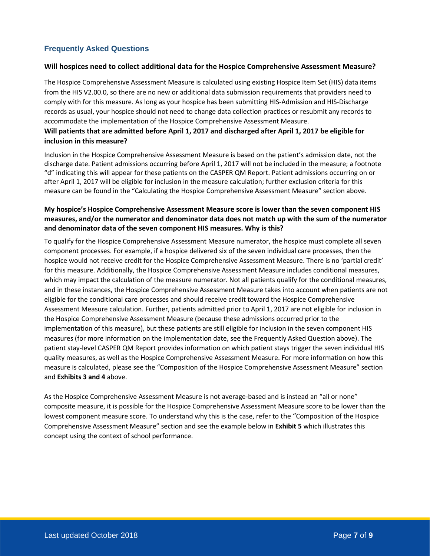# **Frequently Asked Questions**

## **Will hospices need to collect additional data for the Hospice Comprehensive Assessment Measure?**

The Hospice Comprehensive Assessment Measure is calculated using existing Hospice Item Set (HIS) data items from the HIS V2.00.0, so there are no new or additional data submission requirements that providers need to comply with for this measure. As long as your hospice has been submitting HIS-Admission and HIS-Discharge records as usual, your hospice should not need to change data collection practices or resubmit any records to accommodate the implementation of the Hospice Comprehensive Assessment Measure.

# **Will patients that are admitted before April 1, 2017 and discharged after April 1, 2017 be eligible for inclusion in this measure?**

Inclusion in the Hospice Comprehensive Assessment Measure is based on the patient's admission date, not the discharge date. Patient admissions occurring before April 1, 2017 will not be included in the measure; a footnote "d" indicating this will appear for these patients on the CASPER QM Report. Patient admissions occurring on or after April 1, 2017 will be eligible for inclusion in the measure calculation; further exclusion criteria for this measure can be found in the "Calculating the Hospice Comprehensive Assessment Measure" section above.

# **My hospice's Hospice Comprehensive Assessment Measure score is lower than the seven component HIS measures, and/or the numerator and denominator data does not match up with the sum of the numerator and denominator data of the seven component HIS measures. Why is this?**

To qualify for the Hospice Comprehensive Assessment Measure numerator, the hospice must complete all seven component processes. For example, if a hospice delivered six of the seven individual care processes, then the hospice would not receive credit for the Hospice Comprehensive Assessment Measure. There is no 'partial credit' for this measure. Additionally, the Hospice Comprehensive Assessment Measure includes conditional measures, which may impact the calculation of the measure numerator. Not all patients qualify for the conditional measures, and in these instances, the Hospice Comprehensive Assessment Measure takes into account when patients are not eligible for the conditional care processes and should receive credit toward the Hospice Comprehensive Assessment Measure calculation. Further, patients admitted prior to April 1, 2017 are not eligible for inclusion in the Hospice Comprehensive Assessment Measure (because these admissions occurred prior to the implementation of this measure), but these patients are still eligible for inclusion in the seven component HIS measures (for more information on the implementation date, see the Frequently Asked Question above). The patient stay-level CASPER QM Report provides information on which patient stays trigger the seven individual HIS quality measures, as well as the Hospice Comprehensive Assessment Measure. For more information on how this measure is calculated, please see the "Composition of the Hospice Comprehensive Assessment Measure" section and **Exhibits 3 and 4** above.

As the Hospice Comprehensive Assessment Measure is not average-based and is instead an "all or none" composite measure, it is possible for the Hospice Comprehensive Assessment Measure score to be lower than the lowest component measure score. To understand why this is the case, refer to the "Composition of the Hospice Comprehensive Assessment Measure" section and see the example below in **Exhibit 5** which illustrates this concept using the context of school performance.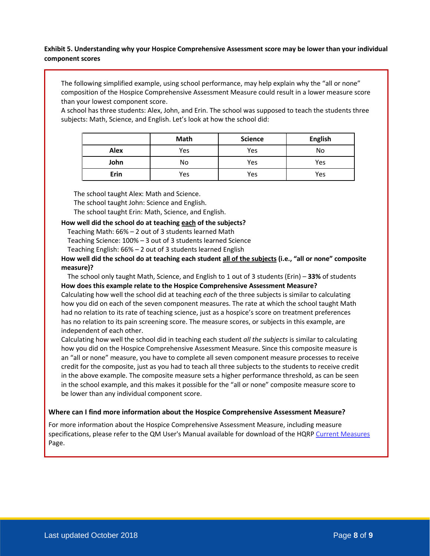## **Exhibit 5. Understanding why your Hospice Comprehensive Assessment score may be lower than your individual component scores**

The following simplified example, using school performance, may help explain why the "all or none" composition of the Hospice Comprehensive Assessment Measure could result in a lower measure score than your lowest component score.

A school has three students: Alex, John, and Erin. The school was supposed to teach the students three subjects: Math, Science, and English. Let's look at how the school did:

|             | Math | <b>Science</b> | <b>English</b> |
|-------------|------|----------------|----------------|
| <b>Alex</b> | Yes  | Yes            | No             |
| John        | No   | Yes            | Yes            |
| Erin        | Yes  | Yes            | Yes            |

The school taught Alex: Math and Science.

The school taught John: Science and English.

The school taught Erin: Math, Science, and English.

#### **How well did the school do at teaching each of the subjects?**

Teaching Math: 66% – 2 out of 3 students learned Math

Teaching Science: 100% – 3 out of 3 students learned Science

Teaching English: 66% – 2 out of 3 students learned English

**How well did the school do at teaching each student all of the subjects (i.e., "all or none" composite measure)?** 

The school only taught Math, Science, and English to 1 out of 3 students (Erin) – **33%** of students **How does this example relate to the Hospice Comprehensive Assessment Measure?** Calculating how well the school did at teaching *each* of the three subjects is similar to calculating how you did on each of the seven component measures. The rate at which the school taught Math had no relation to its rate of teaching science, just as a hospice's score on treatment preferences has no relation to its pain screening score. The measure scores, or subjects in this example, are independent of each other.

Calculating how well the school did in teaching each student *all the subjects* is similar to calculating how you did on the Hospice Comprehensive Assessment Measure. Since this composite measure is an "all or none" measure, you have to complete all seven component measure processes to receive credit for the composite, just as you had to teach all three subjects to the students to receive credit in the above example. The composite measure sets a higher performance threshold, as can be seen in the school example, and this makes it possible for the "all or none" composite measure score to be lower than any individual component score.

#### **Where can I find more information about the Hospice Comprehensive Assessment Measure?**

For more information about the Hospice Comprehensive Assessment Measure, including measure specifications, please refer to the QM User's Manual available for download of the HQRP [Current Measures](https://www.cms.gov/Medicare/Quality-Initiatives-Patient-Assessment-Instruments/Hospice-Quality-Reporting/Current-Measures.html) Page.